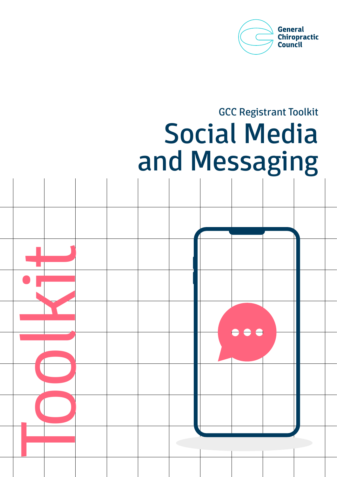

# GCC Registrant Toolkit Social Media and Messaging

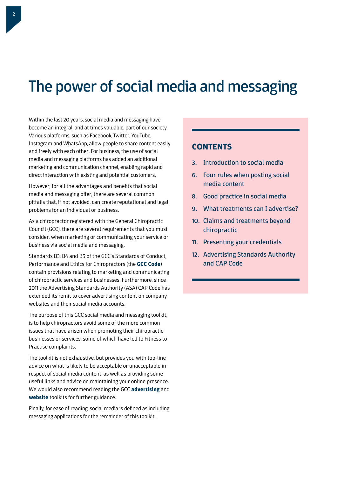## The power of social media and messaging

Within the last 20 years, social media and messaging have become an integral, and at times valuable, part of our society. Various platforms, such as Facebook, Twitter, YouTube, Instagram and WhatsApp, allow people to share content easily and freely with each other. For business, the use of social media and messaging platforms has added an additional marketing and communication channel, enabling rapid and direct interaction with existing and potential customers.

However, for all the advantages and benefits that social media and messaging offer, there are several common pitfalls that, if not avoided, can create reputational and legal problems for an individual or business.

As a chiropractor registered with the General Chiropractic Council (GCC), there are several requirements that you must consider, when marketing or communicating your service or business via social media and messaging.

Standards B3, B4 and B5 of the GCC's Standards of Conduct, Performance and Ethics for Chiropractors (the **[GCC Code](http://www.gcc-uk.org/the-code)**) contain provisions relating to marketing and communicating of chiropractic services and businesses. Furthermore, since 2011 the Advertising Standards Authority (ASA) CAP Code has extended its remit to cover advertising content on company websites and their social media accounts.

The purpose of this GCC social media and messaging toolkit, is to help chiropractors avoid some of the more common issues that have arisen when promoting their chiropractic businesses or services, some of which have led to Fitness to Practise complaints.

The toolkit is not exhaustive, but provides you with top-line advice on what is likely to be acceptable or unacceptable in respect of social media content, as well as providing some useful links and advice on maintaining your online presence. We would also recommend reading the GCC **[advertising](http://www.gcc-uk.org/toolkit-advertising)** and **[website](http://www.gcc-uk.org/toolkit-website)** toolkits for further guidance.

Finally, for ease of reading, social media is defined as including messaging applications for the remainder of this toolkit.

## **CONTENTS**

- 3. Introduction to social media
- 6. Four rules when posting social media content
- 8. Good practice in social media
- 9. What treatments can I advertise?
- 10. Claims and treatments beyond chiropractic
- 11. Presenting your credentials
- 12. Advertising Standards Authority and CAP Code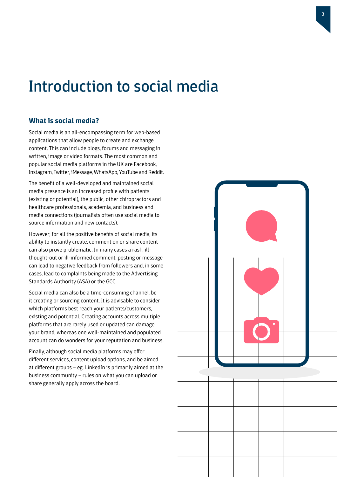## Introduction to social media

### **What is social media?**

Social media is an all-encompassing term for web-based applications that allow people to create and exchange content. This can include blogs, forums and messaging in written, image or video formats. The most common and popular social media platforms in the UK are Facebook, Instagram, Twitter, iMessage, WhatsApp, YouTube and Reddit.

The benefit of a well-developed and maintained social media presence is an increased profile with patients (existing or potential), the public, other chiropractors and healthcare professionals, academia, and business and media connections (journalists often use social media to source information and new contacts).

However, for all the positive benefits of social media, its ability to instantly create, comment on or share content can also prove problematic. In many cases a rash, illthought-out or ill-informed comment, posting or message can lead to negative feedback from followers and, in some cases, lead to complaints being made to the Advertising Standards Authority (ASA) or the GCC.

Social media can also be a time-consuming channel, be it creating or sourcing content. It is advisable to consider which platforms best reach your patients/customers, existing and potential. Creating accounts across multiple platforms that are rarely used or updated can damage your brand, whereas one well-maintained and populated account can do wonders for your reputation and business.

Finally, although social media platforms may offer different services, content upload options, and be aimed at different groups – eg. LinkedIn is primarily aimed at the business community – rules on what you can upload or share generally apply across the board.

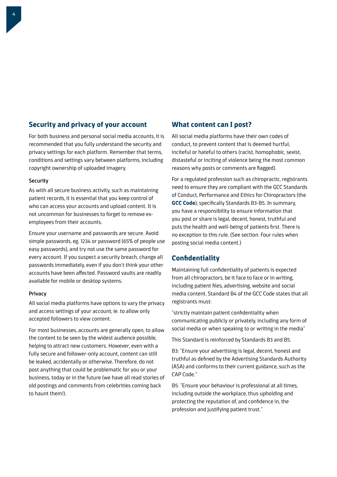### **Security and privacy of your account**

For both business and personal social media accounts, it is recommended that you fully understand the security and privacy settings for each platform. Remember that terms, conditions and settings vary between platforms, including copyright ownership of uploaded imagery.

#### **Security**

As with all secure business activity, such as maintaining patient records, it is essential that you keep control of who can access your accounts and upload content. It is not uncommon for businesses to forget to remove exemployees from their accounts.

Ensure your username and passwords are secure. Avoid simple passwords, eg. 1234 or password (65% of people use easy passwords), and try not use the same password for every account. If you suspect a security breach, change all passwords immediately, even if you don't think your other accounts have been affected. Password vaults are readily available for mobile or desktop systems.

#### Privacy

All social media platforms have options to vary the privacy and access settings of your account, ie. to allow only accepted followers to view content.

For most businesses, accounts are generally open, to allow the content to be seen by the widest audience possible, helping to attract new customers. However, even with a fully secure and follower-only account, content can still be leaked, accidentally or otherwise. Therefore, do not post anything that could be problematic for you or your business, today or in the future (we have all read stories of old postings and comments from celebrities coming back to haunt them!).

### **What content can I post?**

All social media platforms have their own codes of conduct, to prevent content that is deemed hurtful, inciteful or hateful to others (racist, homophobic, sexist, distasteful or inciting of violence being the most common reasons why posts or comments are flagged).

For a regulated profession such as chiropractic, registrants need to ensure they are compliant with the GCC Standards of Conduct, Performance and Ethics for Chiropractors (the **[GCC Code](http://www.gcc-uk.org/the-code)**), specifically Standards B3-B5. In summary, you have a responsibility to ensure information that you post or share is legal, decent, honest, truthful and puts the health and well-being of patients first. There is no exception to this rule. (See section: Four rules when posting social media content.)

### **Confidentiality**

Maintaining full confidentiality of patients is expected from all chiropractors, be it face to face or in writing, including patient files, advertising, website and social media content. Standard B4 of the GCC Code states that all registrants must:

"strictly maintain patient confidentiality when communicating publicly or privately, including any form of social media or when speaking to or writing in the media"

This Standard is reinforced by Standards B3 and B5.

B3: "Ensure your advertising is legal, decent, honest and truthful as defined by the Advertising Standards Authority (ASA) and conforms to their current guidance, such as the CAP Code."

B5: "Ensure your behaviour is professional at all times, including outside the workplace, thus upholding and protecting the reputation of, and confidence in, the profession and justifying patient trust."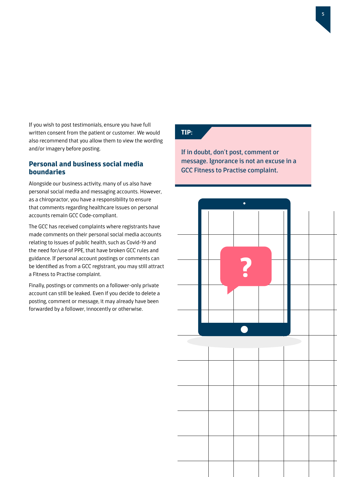If you wish to post testimonials, ensure you have full written consent from the patient or customer. We would also recommend that you allow them to view the wording and/or imagery before posting.

### **Personal and business social media boundaries**

Alongside our business activity, many of us also have personal social media and messaging accounts. However, as a chiropractor, you have a responsibility to ensure that comments regarding healthcare issues on personal accounts remain GCC Code-compliant.

The GCC has received complaints where registrants have made comments on their personal social media accounts relating to issues of public health, such as Covid-19 and the need for/use of PPE, that have broken GCC rules and guidance. If personal account postings or comments can be identified as from a GCC registrant, you may still attract a Fitness to Practise complaint.

Finally, postings or comments on a follower-only private account can still be leaked. Even if you decide to delete a posting, comment or message, it may already have been forwarded by a follower, innocently or otherwise.

## **TIP:**

If in doubt, don't post, comment or message. Ignorance is not an excuse in a GCC Fitness to Practise complaint.

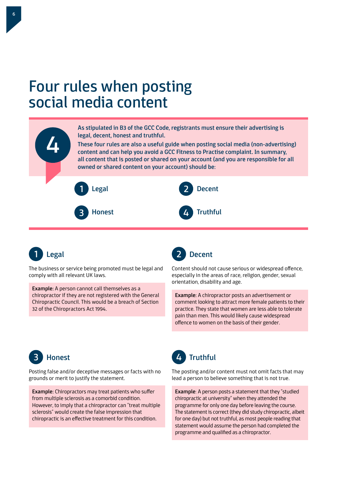## Four rules when posting social media content





The business or service being promoted must be legal and comply with all relevant UK laws.

Example: A person cannot call themselves as a chiropractor if they are not registered with the General Chiropractic Council. This would be a breach of Section 32 of the Chiropractors Act 1994.



Content should not cause serious or widespread offence, especially in the areas of race, religion, gender, sexual orientation, disability and age.

Example: A chiropractor posts an advertisement or comment looking to attract more female patients to their practice. They state that women are less able to tolerate pain than men. This would likely cause widespread offence to women on the basis of their gender.



Posting false and/or deceptive messages or facts with no grounds or merit to justify the statement.

Example: Chiropractors may treat patients who suffer from multiple sclerosis as a comorbid condition. However, to imply that a chiropractor can "treat multiple sclerosis" would create the false impression that chiropractic is an effective treatment for this condition.



The posting and/or content must not omit facts that may lead a person to believe something that is not true.

Example: A person posts a statement that they "studied chiropractic at university" when they attended the programme for only one day before leaving the course. The statement is correct (they did study chiropractic, albeit for one day) but not truthful, as most people reading that statement would assume the person had completed the programme and qualified as a chiropractor.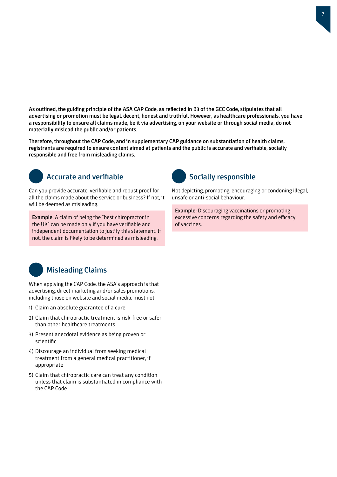As outlined, the guiding principle of the ASA CAP Code, as reflected in B3 of the GCC Code, stipulates that all advertising or promotion must be legal, decent, honest and truthful. However, as healthcare professionals, you have a responsibility to ensure all claims made, be it via advertising, on your website or through social media, do not materially mislead the public and/or patients.

Therefore, throughout the CAP Code, and in supplementary CAP guidance on substantiation of health claims, registrants are required to ensure content aimed at patients and the public is accurate and verifiable, socially responsible and free from misleading claims.



## Accurate and verifiable

Can you provide accurate, verifiable and robust proof for all the claims made about the service or business? If not, it will be deemed as misleading.

Example: A claim of being the "best chiropractor in the UK" can be made only if you have verifiable and independent documentation to justify this statement. If not, the claim is likely to be determined as misleading.



Not depicting, promoting, encouraging or condoning illegal, unsafe or anti-social behaviour.

Example: Discouraging vaccinations or promoting excessive concerns regarding the safety and efficacy of vaccines.



## Misleading Claims

When applying the CAP Code, the ASA's approach is that advertising, direct marketing and/or sales promotions, including those on website and social media, must not:

- 1) Claim an absolute guarantee of a cure
- 2) Claim that chiropractic treatment is risk-free or safer than other healthcare treatments
- 3) Present anecdotal evidence as being proven or scientific
- 4) Discourage an individual from seeking medical treatment from a general medical practitioner, if appropriate
- 5) Claim that chiropractic care can treat any condition unless that claim is substantiated in compliance with the CAP Code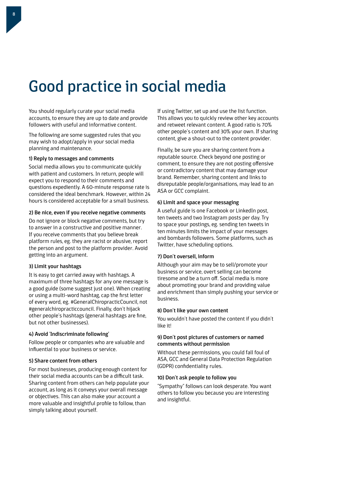## Good practice in social media

You should regularly curate your social media accounts, to ensure they are up to date and provide followers with useful and informative content.

The following are some suggested rules that you may wish to adopt/apply in your social media planning and maintenance.

#### 1) Reply to messages and comments

Social media allows you to communicate quickly with patient and customers. In return, people will expect you to respond to their comments and questions expediently. A 60-minute response rate is considered the ideal benchmark. However, within 24 hours is considered acceptable for a small business.

#### 2) Be nice, even if you receive negative comments

Do not ignore or block negative comments, but try to answer in a constructive and positive manner. If you receive comments that you believe break platform rules, eg. they are racist or abusive, report the person and post to the platform provider. Avoid getting into an argument.

#### 3) Limit your hashtags

It is easy to get carried away with hashtags. A maximum of three hashtags for any one message is a good guide (some suggest just one). When creating or using a multi-word hashtag, cap the first letter of every word, eg. #GeneralChiropracticCouncil, not #generalchiropracticcouncil. Finally, don't hijack other people's hashtags (general hashtags are fine, but not other businesses).

#### 4) Avoid 'Indiscriminate following'

Follow people or companies who are valuable and influential to your business or service.

#### 5) Share content from others

For most businesses, producing enough content for their social media accounts can be a difficult task. Sharing content from others can help populate your account, as long as it conveys your overall message or objectives. This can also make your account a more valuable and insightful profile to follow, than simply talking about yourself.

If using Twitter, set up and use the list function. This allows you to quickly review other key accounts and retweet relevant content. A good ratio is 70% other people's content and 30% your own. If sharing content, give a shout-out to the content provider.

Finally, be sure you are sharing content from a reputable source. Check beyond one posting or comment, to ensure they are not posting offensive or contradictory content that may damage your brand. Remember, sharing content and links to disreputable people/organisations, may lead to an ASA or GCC complaint.

#### 6) Limit and space your messaging

A useful guide is one Facebook or LinkedIn post, ten tweets and two Instagram posts per day. Try to space your postings, eg. sending ten tweets in ten minutes limits the impact of your messages and bombards followers. Some platforms, such as Twitter, have scheduling options.

#### 7) Don't oversell, inform

Although your aim may be to sell/promote your business or service, overt selling can become tiresome and be a turn off. Social media is more about promoting your brand and providing value and enrichment than simply pushing your service or business.

#### 8) Don't like your own content

You wouldn't have posted the content if you didn't like it!

#### 9) Don't post pictures of customers or named comments without permission

Without these permissions, you could fall foul of ASA, GCC and General Data Protection Regulation (GDPR) confidentiality rules.

#### 10) Don't ask people to follow you

"Sympathy" follows can look desperate. You want others to follow you because you are interesting and insightful.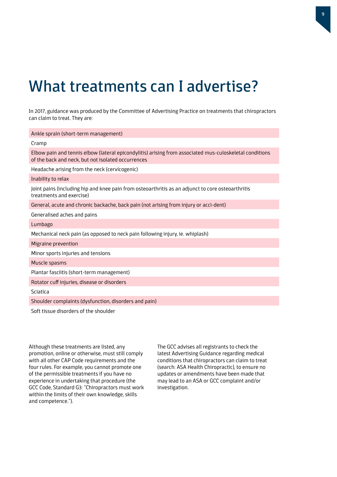## What treatments can I advertise?

In 2017, guidance was produced by the Committee of Advertising Practice on treatments that chiropractors can claim to treat. They are:

| Ankle sprain (short-term management)                                                                                                                          |
|---------------------------------------------------------------------------------------------------------------------------------------------------------------|
| Cramp                                                                                                                                                         |
| Elbow pain and tennis elbow (lateral epicondylitis) arising from associated mus-culoskeletal conditions<br>of the back and neck, but not isolated occurrences |
| Headache arising from the neck (cervicogenic)                                                                                                                 |
| Inability to relax                                                                                                                                            |
| Joint pains (including hip and knee pain from osteoarthritis as an adjunct to core osteoarthritis<br>treatments and exercise)                                 |
| General, acute and chronic backache, back pain (not arising from injury or acci-dent)                                                                         |
| Generalised aches and pains                                                                                                                                   |
| Lumbago                                                                                                                                                       |
| Mechanical neck pain (as opposed to neck pain following injury, ie. whiplash)                                                                                 |
| Migraine prevention                                                                                                                                           |
| Minor sports injuries and tensions                                                                                                                            |
| Muscle spasms                                                                                                                                                 |
| Plantar fasciitis (short-term management)                                                                                                                     |
| Rotator cuff injuries, disease or disorders                                                                                                                   |
| Sciatica                                                                                                                                                      |
| Shoulder complaints (dysfunction, disorders and pain)                                                                                                         |
| Soft tissue disorders of the shoulder                                                                                                                         |

Although these treatments are listed, any promotion, online or otherwise, must still comply with all other CAP Code requirements and the four rules. For example, you cannot promote one of the permissible treatments if you have no experience in undertaking that procedure (the GCC Code, Standard G3: "Chiropractors must work within the limits of their own knowledge, skills and competence.").

The GCC advises all registrants to check the latest Advertising Guidance regarding medical conditions that chiropractors can claim to treat (search: ASA Health Chiropractic), to ensure no updates or amendments have been made that may lead to an ASA or GCC complaint and/or investigation.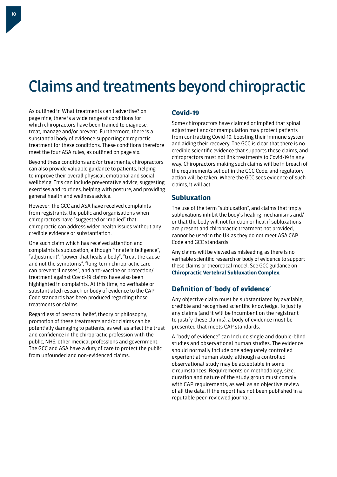## Claims and treatments beyond chiropractic

As outlined in What treatments can I advertise? on page nine, there is a wide range of conditions for which chiropractors have been trained to diagnose, treat, manage and/or prevent. Furthermore, there is a substantial body of evidence supporting chiropractic treatment for these conditions. These conditions therefore meet the four ASA rules, as outlined on page six.

Beyond these conditions and/or treatments, chiropractors can also provide valuable guidance to patients, helping to improve their overall physical, emotional and social wellbeing. This can include preventative advice, suggesting exercises and routines, helping with posture, and providing general health and wellness advice.

However, the GCC and ASA have received complaints from registrants, the public and organisations when chiropractors have "suggested or implied" that chiropractic can address wider health issues without any credible evidence or substantiation.

One such claim which has received attention and complaints is subluxation, although "innate intelligence", "adjustment", "power that heals a body", "treat the cause and not the symptoms", "long-term chiropractic care can prevent illnesses", and anti-vaccine or protection/ treatment against Covid-19 claims have also been highlighted in complaints. At this time, no verifiable or substantiated research or body of evidence to the CAP Code standards has been produced regarding these treatments or claims.

Regardless of personal belief, theory or philosophy, promotion of these treatments and/or claims can be potentially damaging to patients, as well as affect the trust and confidence in the chiropractic profession with the public, NHS, other medical professions and government. The GCC and ASA have a duty of care to protect the public from unfounded and non-evidenced claims.

## **Covid-19**

Some chiropractors have claimed or implied that spinal adjustment and/or manipulation may protect patients from contracting Covid-19, boosting their immune system and aiding their recovery. The GCC is clear that there is no credible scientific evidence that supports these claims, and chiropractors must not link treatments to Covid-19 in any way. Chiropractors making such claims will be in breach of the requirements set out in the GCC Code, and regulatory action will be taken. Where the GCC sees evidence of such claims, it will act.

## **Subluxation**

The use of the term "subluxation", and claims that imply subluxations inhibit the body's healing mechanisms and/ or that the body will not function or heal if subluxations are present and chiropractic treatment not provided, cannot be used in the UK as they do not meet ASA CAP Code and GCC standards.

Any claims will be viewed as misleading, as there is no verifiable scientific research or body of evidence to support these claims or theoretical model. See GCC guidance on **[Chiropractic Vertebral Subluxation Complex](http://www.gcc-uk.org/guidance-subluxation)**.

## **Definition of 'body of evidence'**

Any objective claim must be substantiated by available, credible and recognised scientific knowledge. To justify any claims (and it will be incumbent on the registrant to justify these claims), a body of evidence must be presented that meets CAP standards.

A "body of evidence" can include single and double-blind studies and observational human studies. The evidence should normally include one adequately controlled experiential human study, although a controlled observational study may be acceptable in some circumstances. Requirements on methodology, size, duration and nature of the study group must comply with CAP requirements, as well as an objective review of all the data, if the report has not been published in a reputable peer-reviewed journal.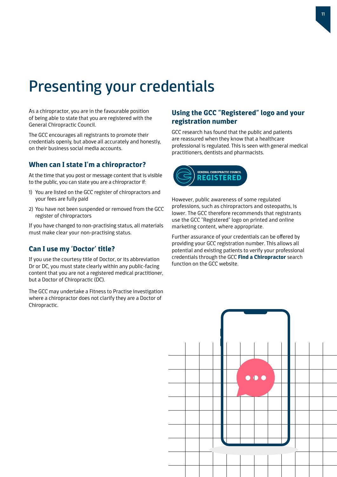## Presenting your credentials

As a chiropractor, you are in the favourable position of being able to state that you are registered with the General Chiropractic Council.

The GCC encourages all registrants to promote their credentials openly, but above all accurately and honestly, on their business social media accounts.

### **When can I state I'm a chiropractor?**

At the time that you post or message content that is visible to the public, you can state you are a chiropractor if:

- 1) You are listed on the GCC register of chiropractors and your fees are fully paid
- 2) You have not been suspended or removed from the GCC register of chiropractors

If you have changed to non-practising status, all materials must make clear your non-practising status.

### **Can I use my 'Doctor' title?**

If you use the courtesy title of Doctor, or its abbreviation Dr or DC, you must state clearly within any public-facing content that you are not a registered medical practitioner, but a Doctor of Chiropractic (DC).

The GCC may undertake a Fitness to Practise investigation where a chiropractor does not clarify they are a Doctor of Chiropractic.

## **Using the GCC "Registered" logo and your registration number**

GCC research has found that the public and patients are reassured when they know that a healthcare professional is regulated. This is seen with general medical practitioners, dentists and pharmacists.



However, public awareness of some regulated professions, such as chiropractors and osteopaths, is lower. The GCC therefore recommends that registrants use the GCC "Registered" logo on printed and online marketing content, where appropriate.

Further assurance of your credentials can be offered by providing your GCC registration number. This allows all potential and existing patients to verify your professional credentials through the GCC **[Find a Chiropractor](http://www.gcc-uk.org/find-a-chiropractor)** search function on the GCC website.